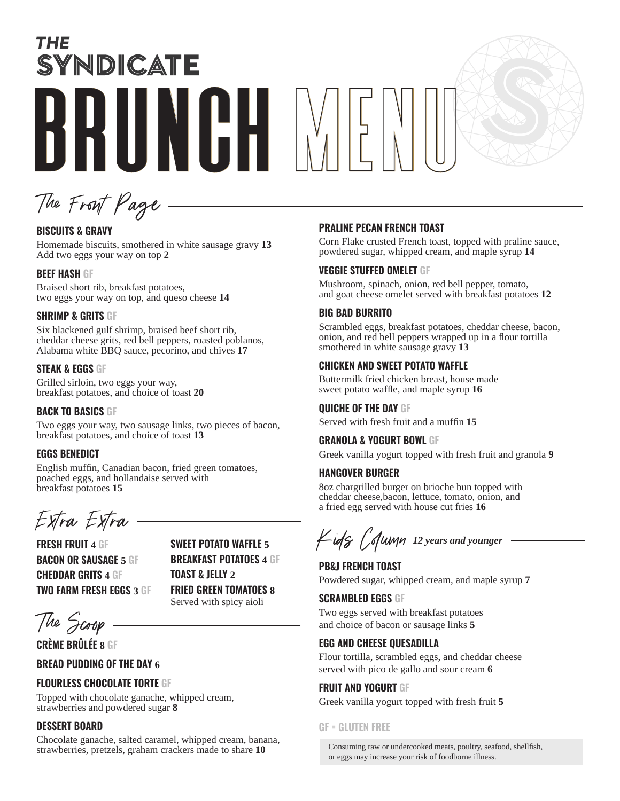# THE SYNDICATE BRUNCH MENU

The Front Page

## **BISCUITS & GRAVY**

Homemade biscuits, smothered in white sausage gravy **13** Add two eggs your way on top **2**

### **BEEF HASH GF**

Braised short rib, breakfast potatoes, two eggs your way on top, and queso cheese **14**

## **SHRIMP & GRITS GF**

Six blackened gulf shrimp, braised beef short rib, cheddar cheese grits, red bell peppers, roasted poblanos, Alabama white BBQ sauce, pecorino, and chives **17**

## **STEAK & EGGS GF**

Grilled sirloin, two eggs your way, breakfast potatoes, and choice of toast **20**

## **BACK TO BASICS GF**

Two eggs your way, two sausage links, two pieces of bacon, breakfast potatoes, and choice of toast **13**

## **EGGS BENEDICT**

English muffin, Canadian bacon, fried green tomatoes, poached eggs, and hollandaise served with breakfast potatoes **15**

Extra Extra

**FRESH FRUIT 4 GF BACON OR SAUSAGE 5 GF CHEDDAR GRITS 4 GF TWO FARM FRESH EGGS 3 GF** **SWEET POTATO WAFFLE 5 BREAKFAST POTATOES 4 GF TOAST & JELLY 2 FRIED GREEN TOMATOES 8** Served with spicy aioli

The Scoop

**CRÈME BRÛLÉE 8 GF**

**BREAD PUDDING OF THE DAY 6**

## **FLOURLESS CHOCOLATE TORTE GF**

Topped with chocolate ganache, whipped cream, strawberries and powdered sugar **8**

## **DESSERT BOARD**

Chocolate ganache, salted caramel, whipped cream, banana, strawberries, pretzels, graham crackers made to share **10**

### **PRALINE PECAN FRENCH TOAST**

Corn Flake crusted French toast, topped with praline sauce, powdered sugar, whipped cream, and maple syrup **14**

### **VEGGIE STUFFED OMELET GF**

Mushroom, spinach, onion, red bell pepper, tomato, and goat cheese omelet served with breakfast potatoes **12**

### **BIG BAD BURRITO**

Scrambled eggs, breakfast potatoes, cheddar cheese, bacon, onion, and red bell peppers wrapped up in a flour tortilla smothered in white sausage gravy **13**

## **CHICKEN AND SWEET POTATO WAFFLE**

Buttermilk fried chicken breast, house made sweet potato waffle, and maple syrup **16**

#### **QUICHE OF THE DAY GF**

Served with fresh fruit and a muffin **15**

#### **GRANOLA & YOGURT BOWL GF**

Greek vanilla yogurt topped with fresh fruit and granola **9**

#### **HANGOVER BURGER**

8oz chargrilled burger on brioche bun topped with cheddar cheese,bacon, lettuce, tomato, onion, and a fried egg served with house cut fries **16**

Kids Column *12 years and younger*

## **PB&J FRENCH TOAST** Powdered sugar, whipped cream, and maple syrup **7**

#### **SCRAMBLED EGGS GF**

Two eggs served with breakfast potatoes and choice of bacon or sausage links **5**

## **EGG AND CHEESE QUESADILLA**

Flour tortilla, scrambled eggs, and cheddar cheese served with pico de gallo and sour cream **6**

#### **FRUIT AND YOGURT GF**

Greek vanilla yogurt topped with fresh fruit **5**

#### **GF = GLUTEN FREE**

Consuming raw or undercooked meats, poultry, seafood, shellfish, or eggs may increase your risk of foodborne illness.